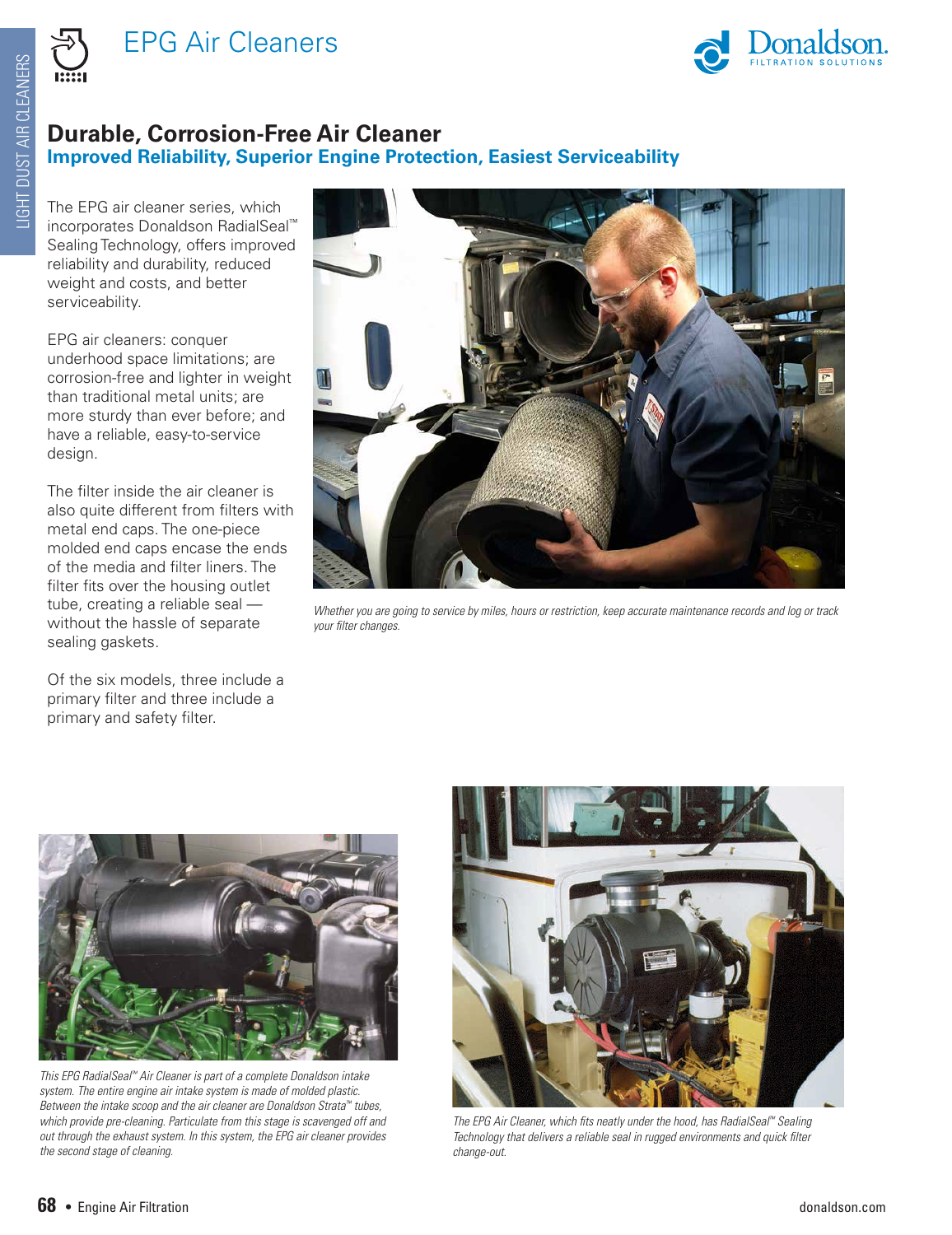

## **Durable, Corrosion-Free Air Cleaner**

**Improved Reliability, Superior Engine Protection, Easiest Serviceability**

The EPG air cleaner series, which incorporates Donaldson RadialSeal™ Sealing Technology, offers improved reliability and durability, reduced weight and costs, and better serviceability.

EPG air cleaners: conquer underhood space limitations; are corrosion-free and lighter in weight than traditional metal units; are more sturdy than ever before; and have a reliable, easy-to-service design.

The filter inside the air cleaner is also quite different from filters with metal end caps. The one-piece molded end caps encase the ends of the media and filter liners. The filter fits over the housing outlet tube, creating a reliable seal without the hassle of separate sealing gaskets.

Of the six models, three include a primary filter and three include a primary and safety filter.



*Whether you are going to service by miles, hours or restriction, keep accurate maintenance records and log or track your filter changes.* 



*This EPG RadialSeal™ Air Cleaner is part of a complete Donaldson intake system. The entire engine air intake system is made of molded plastic. Between the intake scoop and the air cleaner are Donaldson Strata™ tubes, which provide pre-cleaning. Particulate from this stage is scavenged off and out through the exhaust system. In this system, the EPG air cleaner provides the second stage of cleaning.*



*The EPG Air Cleaner, which fits neatly under the hood, has RadialSeal™ Sealing Technology that delivers a reliable seal in rugged environments and quick filter change-out.*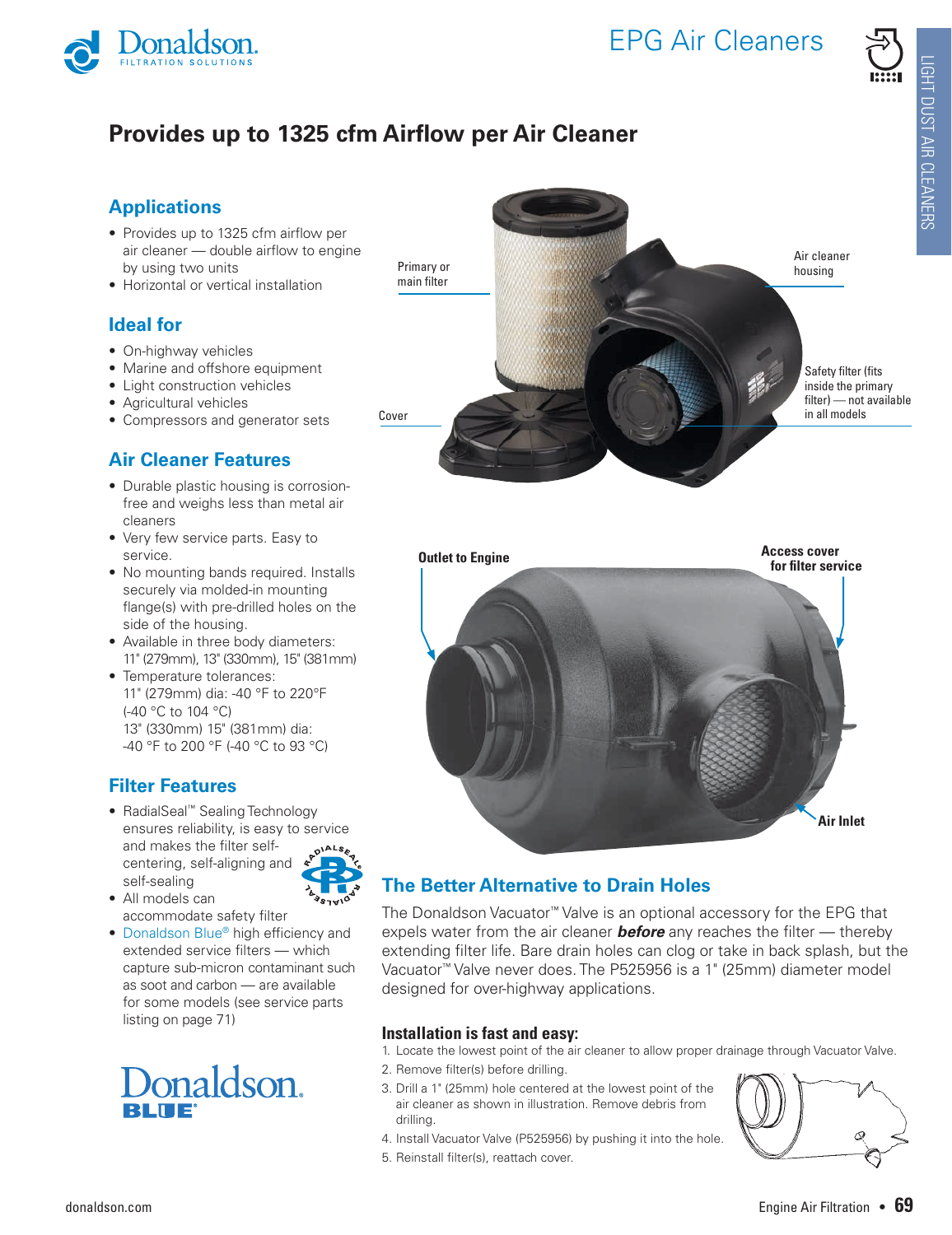

**Provides up to 1325 cfm Airflow per Air Cleaner**

#### **Applications**

- Provides up to 1325 cfm airflow per air cleaner — double airflow to engine by using two units
- Horizontal or vertical installation

#### **Ideal for**

- On-highway vehicles
- Marine and offshore equipment
- Light construction vehicles
- Agricultural vehicles
- Compressors and generator sets

#### **Air Cleaner Features**

- Durable plastic housing is corrosionfree and weighs less than metal air cleaners
- Very few service parts. Easy to service.
- No mounting bands required. Installs securely via molded-in mounting flange(s) with pre-drilled holes on the side of the housing.
- Available in three body diameters: 11" (279mm), 13" (330mm), 15" (381mm)
- Temperature tolerances: 11" (279mm) dia: -40 °F to 220°F (-40 °C to 104 °C) 13" (330mm) 15" (381mm) dia: -40 °F to 200 °F (-40 °C to 93 °C)

#### **Filter Features**

• RadialSeal™ Sealing Technology ensures reliability, is easy to service and makes the filter selfcentering, self-aligning and self-sealing



- All models can accommodate safety filter
- Donaldson Blue® high efficiency and extended service filters — which capture sub-micron contaminant such as soot and carbon — are available for some models (see service parts listing on page 71)







## **The Better Alternative to Drain Holes**

The Donaldson Vacuator™ Valve is an optional accessory for the EPG that expels water from the air cleaner *before* any reaches the filter — thereby extending filter life. Bare drain holes can clog or take in back splash, but the Vacuator™ Valve never does. The P525956 is a 1" (25mm) diameter model designed for over-highway applications.

#### **Installation is fast and easy:**

- 1. Locate the lowest point of the air cleaner to allow proper drainage through Vacuator Valve.
- 2. Remove filter(s) before drilling.
- 3. Drill a 1" (25mm) hole centered at the lowest point of the air cleaner as shown in illustration. Remove debris from drilling.
- 4. Install Vacuator Valve (P525956) by pushing it into the hole.
- 5. Reinstall filter(s), reattach cover.

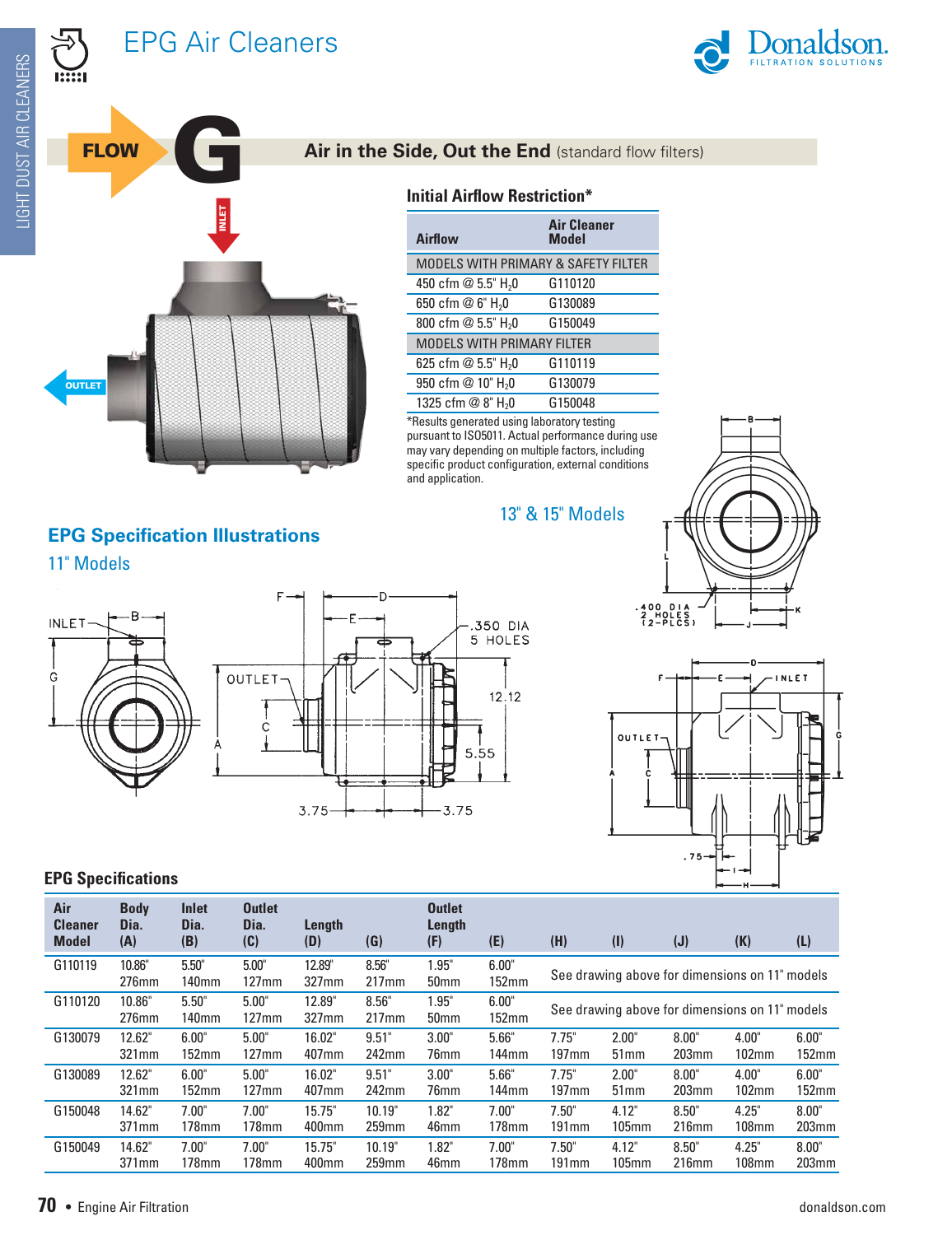



**EXECUTE** 

# **FLOW GENEROM Air in the Side, Out the End** (standard flow filters) **OUTLET** INLET

# **EPG Specification Illustrations**





## F 350 DIA 5 HOLES OUTLET  $12.12$ Ć 5.55  $3.75 -$ 3.75

| <b>Airflow</b>                      | <b>Air Cleaner</b><br><b>Model</b> |
|-------------------------------------|------------------------------------|
| MODELS WITH PRIMARY & SAFETY FILTER |                                    |
| 450 cfm @ 5.5" H <sub>2</sub> 0     | G110120                            |
| 650 cfm @ 6" H <sub>2</sub> 0       | G130089                            |
| 800 cfm @ 5.5" H <sub>2</sub> 0     | G150049                            |
| <b>MODELS WITH PRIMARY FILTER</b>   |                                    |
| 625 cfm @ 5.5" $H_2$ 0              | G110119                            |
| 950 cfm @ 10" H <sub>2</sub> 0      | G130079                            |
| 1325 cfm @ 8" H <sub>2</sub> 0      | G150048                            |

\*Results generated using laboratory testing pursuant to ISO5011. Actual performance during use may vary depending on multiple factors, including specific product configuration, external conditions and application.

#### 13" & 15" Models





#### **EPG Specifications**

| Air<br><b>Cleaner</b><br><b>Model</b> | <b>Body</b><br>Dia.<br>(A) | <b>Inlet</b><br>Dia.<br>(B) | <b>Outlet</b><br>Dia.<br>(C) | Length<br>(D)      | (G)                      | <b>Outlet</b><br>Length<br>(F) | (E)               | (H)      | (1)              | (J)                                            | (K)          | (L)      |
|---------------------------------------|----------------------------|-----------------------------|------------------------------|--------------------|--------------------------|--------------------------------|-------------------|----------|------------------|------------------------------------------------|--------------|----------|
| G110119                               | 10.86"<br>$276$ mm         | 5.50"<br>140mm              | 5.00"<br>$127$ mm            | 12.89"<br>$327$ mm | 8.56''<br>$217$ mm       | 1.95"<br>50 <sub>mm</sub>      | 6.00"<br>152mm    |          |                  | See drawing above for dimensions on 11" models |              |          |
| G110120                               | 10.86"<br>$276$ mm         | 5.50"<br>140mm              | 5.00"<br>$127$ mm            | 12.89"<br>$327$ mm | 8.56"<br>$217 \text{mm}$ | 1.95"<br>50 <sub>mm</sub>      | 6.00"<br>$152$ mm |          |                  | See drawing above for dimensions on 11" models |              |          |
| G130079                               | 12.62"                     | 6.00"                       | 5.00"                        | 16.02"             | 9.51"                    | 3.00"                          | 5.66"             | 7.75"    | 2.00"            | 8.00"                                          | 4.00"        | 6.00"    |
|                                       | $321$ mm                   | <b>152mm</b>                | $127$ mm                     | 407 <sub>mm</sub>  | 242mm                    | 76 <sub>mm</sub>               | 144mm             | $197$ mm | 51 <sub>mm</sub> | $203$ mm                                       | $102$ mm     | 152mm    |
| G130089                               | 12.62"                     | 6.00"                       | 5.00"                        | 16.02"             | 9.51"                    | 3.00"                          | 5.66"             | 7.75"    | 2.00"            | 8.00"                                          | 4.00"        | 6.00"    |
|                                       | $321$ mm                   | 152mm                       | $127$ mm                     | 407 <sub>mm</sub>  | 242mm                    | 76 <sub>mm</sub>               | 144mm             | $197$ mm | 51 <sub>mm</sub> | $203$ mm                                       | $102$ mm     | $152$ mm |
| G150048                               | 14.62"                     | 7.00"                       | 7.00"                        | 15.75"             | 10.19"                   | 1.82"                          | 7.00"             | 7.50"    | 4.12"            | 8.50"                                          | 4.25"        | 8.00"    |
|                                       | $371$ mm                   | <b>178mm</b>                | $178$ mm                     | 400mm              | $259$ mm                 | 46mm                           | $178$ mm          | $191$ mm | $105$ mm         | $216$ mm                                       | <b>108mm</b> | $203$ mm |
| G150049                               | 14.62"                     | 7.00"                       | 7.00"                        | 15.75"             | 10.19"                   | 1.82"                          | 7.00"             | 7.50"    | 4.12"            | 8.50"                                          | 4.25"        | 8.00"    |
|                                       | $371$ mm                   | $178$ mm                    | $178$ mm                     | 400mm              | $259$ mm                 | 46mm                           | $178$ mm          | 191mm    | <b>105mm</b>     | $216$ mm                                       | <b>108mm</b> | $203$ mm |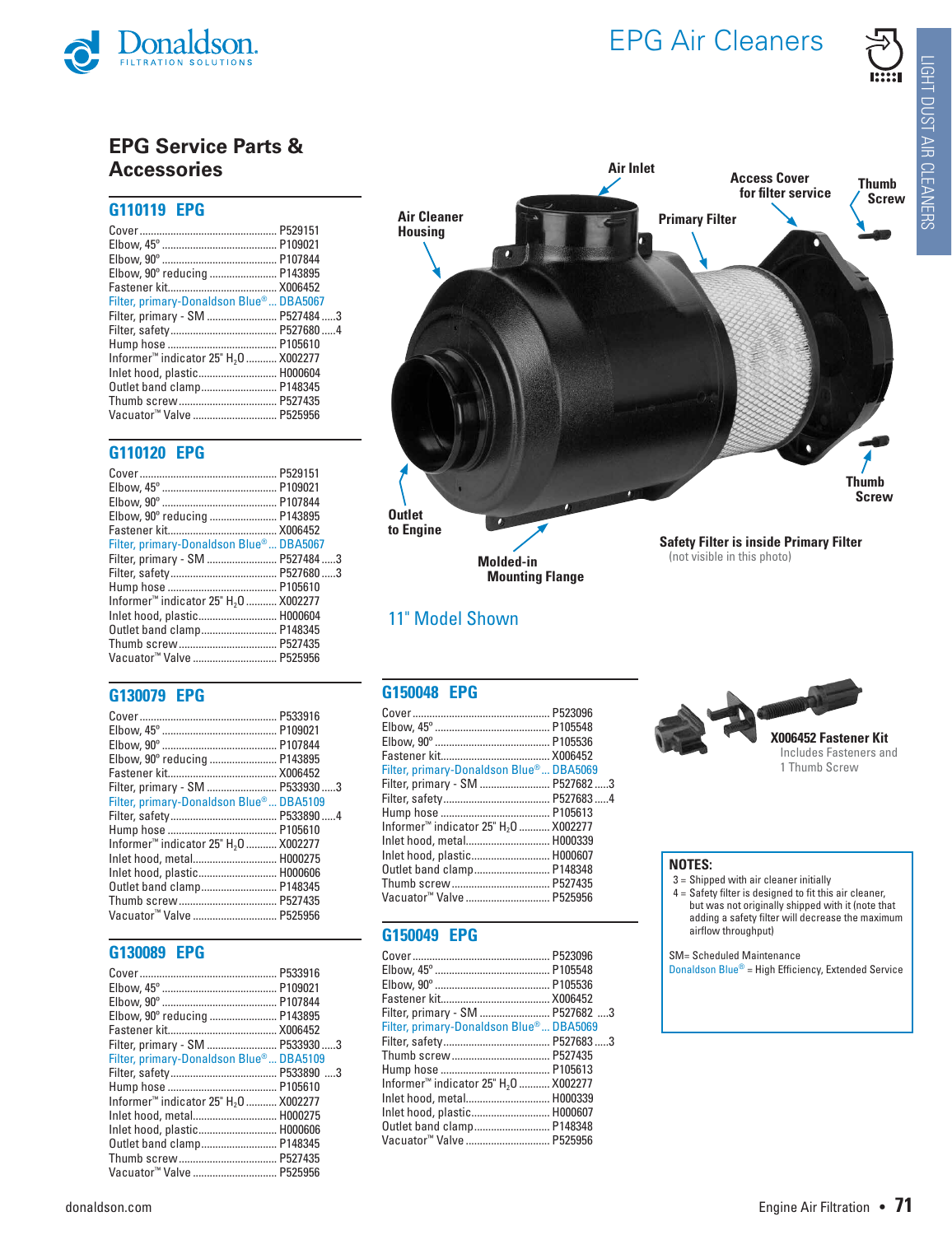

# EPG Air Cleaners

## **EPG Service Parts & Accessories**

#### **G110119 EPG**

| Elbow, 90° reducing  P143895                                  |  |
|---------------------------------------------------------------|--|
|                                                               |  |
| Filter, primary-Donaldson Blue® DBA5067                       |  |
| Filter, primary - SM  P527484 3                               |  |
|                                                               |  |
|                                                               |  |
| Informer <sup>™</sup> indicator 25" H <sub>2</sub> O  X002277 |  |
| Inlet hood, plastic H000604                                   |  |
| Outlet band clamp P148345                                     |  |
|                                                               |  |
| Vacuator <sup>™</sup> Valve  P525956                          |  |
|                                                               |  |

#### **G110120 EPG**

| Elbow, 90° reducing  P143895                                  |  |
|---------------------------------------------------------------|--|
|                                                               |  |
| Filter, primary-Donaldson Blue <sup>®</sup> DBA5067           |  |
| Filter, primary - SM  P527484 3                               |  |
|                                                               |  |
|                                                               |  |
| Informer <sup>™</sup> indicator 25" H <sub>2</sub> O  X002277 |  |
| Inlet hood, plastic H000604                                   |  |
| Outlet band clamp P148345                                     |  |
| Thumb screw P527435                                           |  |
| Vacuator™ Valve  P525956                                      |  |
|                                                               |  |

#### **G130079 EPG**

| Elbow, 90° reducing  P143895            |  |
|-----------------------------------------|--|
|                                         |  |
| Filter, primary - SM  P533930 3         |  |
| Filter, primary-Donaldson Blue® DBA5109 |  |
|                                         |  |
|                                         |  |
| Informer™ indicator 25" H2O  X002277    |  |
| Inlet hood, metal H000275               |  |
| Inlet hood, plastic H000606             |  |
| Outlet band clamp P148345               |  |
| Thumb screw P527435                     |  |
| Vacuator™ Valve  P525956                |  |
|                                         |  |

#### **G130089 EPG**

| Elbow, 90° reducing  P143895                                  |  |
|---------------------------------------------------------------|--|
|                                                               |  |
| Filter, primary - SM  P533930 3                               |  |
| Filter, primary-Donaldson Blue® DBA5109                       |  |
|                                                               |  |
|                                                               |  |
| Informer <sup>™</sup> indicator 25" H <sub>2</sub> O  X002277 |  |
| Inlet hood, metal H000275                                     |  |
| Inlet hood, plastic H000606                                   |  |
| Outlet band clamp P148345                                     |  |
|                                                               |  |
|                                                               |  |



**Mounting Flange**

#### 11" Model Shown

#### **G150048 EPG**

| Filter, primary-Donaldson Blue® DBA5069                       |  |
|---------------------------------------------------------------|--|
| Filter, primary - SM  P527682 3                               |  |
|                                                               |  |
|                                                               |  |
| Informer <sup>™</sup> indicator 25" H <sub>2</sub> O  X002277 |  |
| Inlet hood, metal H000339                                     |  |
| Inlet hood, plastic H000607                                   |  |
| Outlet band clamp P148348                                     |  |
|                                                               |  |
| Vacuator <sup>™</sup> Valve  P525956                          |  |
|                                                               |  |

#### **G150049 EPG**

| Filter, primary - SM  P527682 3                               |  |
|---------------------------------------------------------------|--|
| Filter, primary-Donaldson Blue® DBA5069                       |  |
|                                                               |  |
|                                                               |  |
|                                                               |  |
| Informer <sup>™</sup> indicator 25" H <sub>2</sub> O  X002277 |  |
| Inlet hood, metal H000339                                     |  |
| Inlet hood, plastic H000607                                   |  |
| Outlet band clamp P148348                                     |  |
| Vacuator <sup>™</sup> Valve  P525956                          |  |



#### **NOTES:**

- 3 = Shipped with air cleaner initially
- $4 =$  Safety filter is designed to fit this air cleaner, but was not originally shipped with it (note that adding a safety filter will decrease the maximum airflow throughput)

#### SM= Scheduled Maintenance

Donaldson Blue® = High Efficiency, Extended Service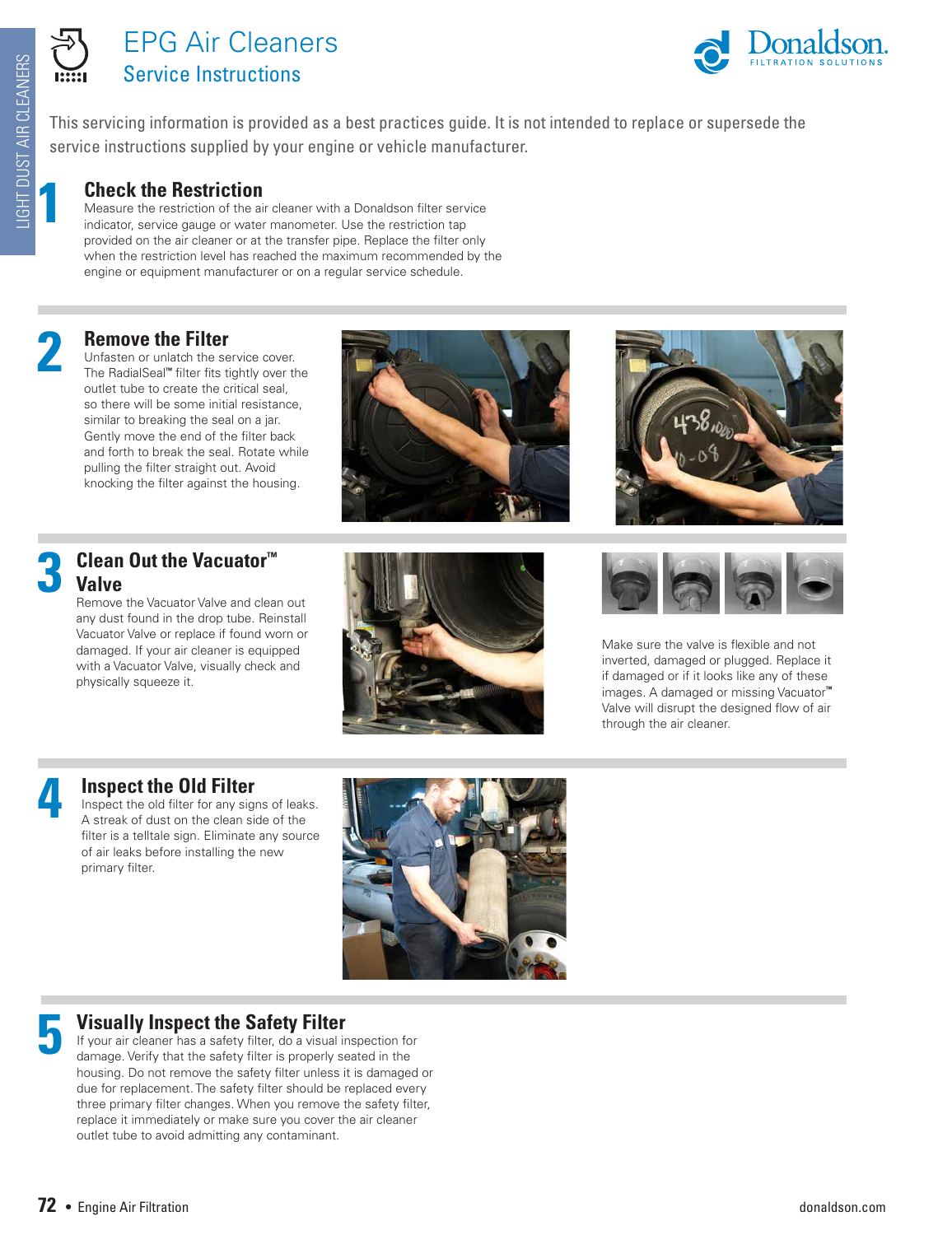

## EPG Air Cleaners Service Instructions



This servicing information is provided as a best practices guide. It is not intended to replace or supersede the service instructions supplied by your engine or vehicle manufacturer.

#### **1 Check the Restriction**

Measure the restriction of the air cleaner with a Donaldson filter service indicator, service gauge or water manometer. Use the restriction tap provided on the air cleaner or at the transfer pipe. Replace the filter only when the restriction level has reached the maximum recommended by the engine or equipment manufacturer or on a regular service schedule.



**4**

**5**

#### **Remove the Filter**

Unfasten or unlatch the service cover. The RadialSeal**™** filter fits tightly over the outlet tube to create the critical seal, so there will be some initial resistance, similar to breaking the seal on a jar. Gently move the end of the filter back and forth to break the seal. Rotate while pulling the filter straight out. Avoid knocking the filter against the housing.





#### **Clean Out the Vacuator™ Valve 3**

Remove the Vacuator Valve and clean out any dust found in the drop tube. Reinstall Vacuator Valve or replace if found worn or damaged. If your air cleaner is equipped with a Vacuator Valve, visually check and physically squeeze it.





Make sure the valve is flexible and not inverted, damaged or plugged. Replace it if damaged or if it looks like any of these images. A damaged or missing Vacuator**™** Valve will disrupt the designed flow of air through the air cleaner.

#### **Inspect the Old Filter**

Inspect the old filter for any signs of leaks. A streak of dust on the clean side of the filter is a telltale sign. Eliminate any source of air leaks before installing the new primary filter.

#### **Visually Inspect the Safety Filter**

If your air cleaner has a safety filter, do a visual inspection for damage. Verify that the safety filter is properly seated in the housing. Do not remove the safety filter unless it is damaged or due for replacement. The safety filter should be replaced every three primary filter changes. When you remove the safety filter, replace it immediately or make sure you cover the air cleaner outlet tube to avoid admitting any contaminant.